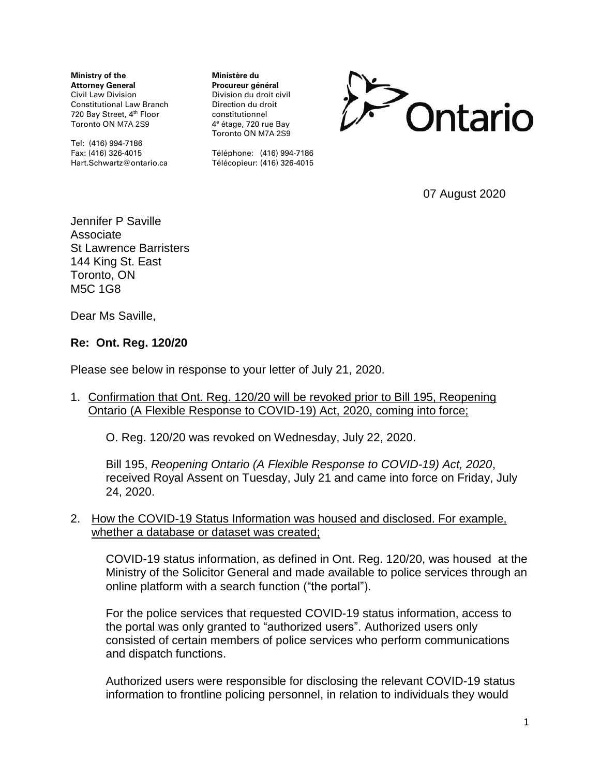**Ministry of the Attorney General** Civil Law Division Constitutional Law Branch 720 Bay Street, 4<sup>th</sup> Floor Toronto ON M7A 2S9

Tel: (416) 994-7186 Fax: (416) 326-4015 Hart.Schwartz@ontario.ca **Ministère du Procureur général** Division du droit civil Direction du droit constitutionnel 4 <sup>e</sup> étage, 720 rue Bay Toronto ON M7A 2S9



Téléphone: (416) 994-7186 Télécopieur: (416) 326-4015

07 August 2020

Jennifer P Saville Associate St Lawrence Barristers 144 King St. East Toronto, ON M5C 1G8

Dear Ms Saville,

#### **Re: Ont. Reg. 120/20**

Please see below in response to your letter of July 21, 2020.

1. Confirmation that Ont. Reg. 120/20 will be revoked prior to Bill 195, Reopening Ontario (A Flexible Response to COVID-19) Act, 2020, coming into force;

O. Reg. 120/20 was revoked on Wednesday, July 22, 2020.

Bill 195, *Reopening Ontario (A Flexible Response to COVID-19) Act, 2020*, received Royal Assent on Tuesday, July 21 and came into force on Friday, July 24, 2020.

## 2. How the COVID-19 Status Information was housed and disclosed. For example, whether a database or dataset was created;

COVID-19 status information, as defined in Ont. Reg. 120/20, was housed at the Ministry of the Solicitor General and made available to police services through an online platform with a search function ("the portal").

For the police services that requested COVID-19 status information, access to the portal was only granted to "authorized users". Authorized users only consisted of certain members of police services who perform communications and dispatch functions.

Authorized users were responsible for disclosing the relevant COVID-19 status information to frontline policing personnel, in relation to individuals they would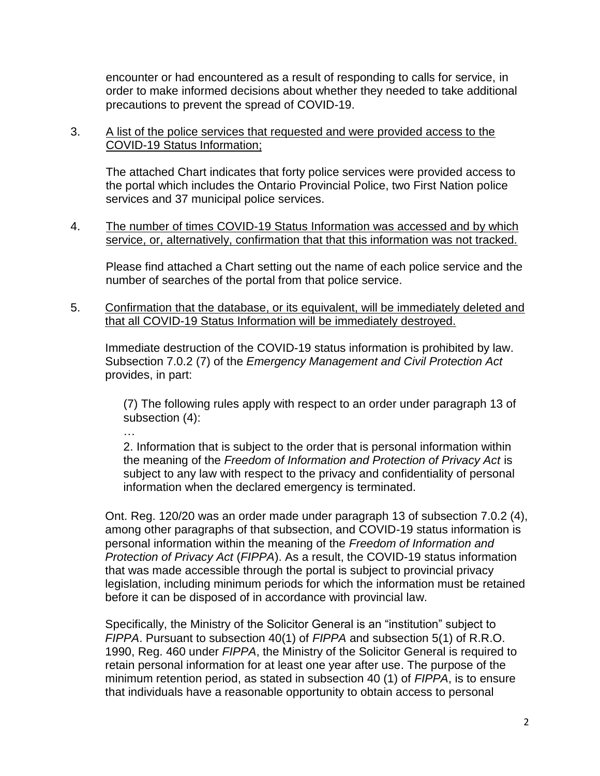encounter or had encountered as a result of responding to calls for service, in order to make informed decisions about whether they needed to take additional precautions to prevent the spread of COVID-19.

# 3. A list of the police services that requested and were provided access to the COVID-19 Status Information;

The attached Chart indicates that forty police services were provided access to the portal which includes the Ontario Provincial Police, two First Nation police services and 37 municipal police services.

# 4. The number of times COVID-19 Status Information was accessed and by which service, or, alternatively, confirmation that that this information was not tracked.

Please find attached a Chart setting out the name of each police service and the number of searches of the portal from that police service.

5. Confirmation that the database, or its equivalent, will be immediately deleted and that all COVID-19 Status Information will be immediately destroyed.

Immediate destruction of the COVID-19 status information is prohibited by law. Subsection 7.0.2 (7) of the *Emergency Management and Civil Protection Act*  provides, in part:

(7) The following rules apply with respect to an order under paragraph 13 of subsection (4):

…

2. Information that is subject to the order that is personal information within the meaning of the *Freedom of Information and Protection of Privacy Act* is subject to any law with respect to the privacy and confidentiality of personal information when the declared emergency is terminated.

Ont. Reg. 120/20 was an order made under paragraph 13 of subsection 7.0.2 (4), among other paragraphs of that subsection, and COVID-19 status information is personal information within the meaning of the *Freedom of Information and Protection of Privacy Act* (*FIPPA*). As a result, the COVID-19 status information that was made accessible through the portal is subject to provincial privacy legislation, including minimum periods for which the information must be retained before it can be disposed of in accordance with provincial law.

Specifically, the Ministry of the Solicitor General is an "institution" subject to *FIPPA*. Pursuant to subsection 40(1) of *FIPPA* and subsection 5(1) of R.R.O. 1990, Reg. 460 under *FIPPA*, the Ministry of the Solicitor General is required to retain personal information for at least one year after use. The purpose of the minimum retention period, as stated in subsection 40 (1) of *FIPPA*, is to ensure that individuals have a reasonable opportunity to obtain access to personal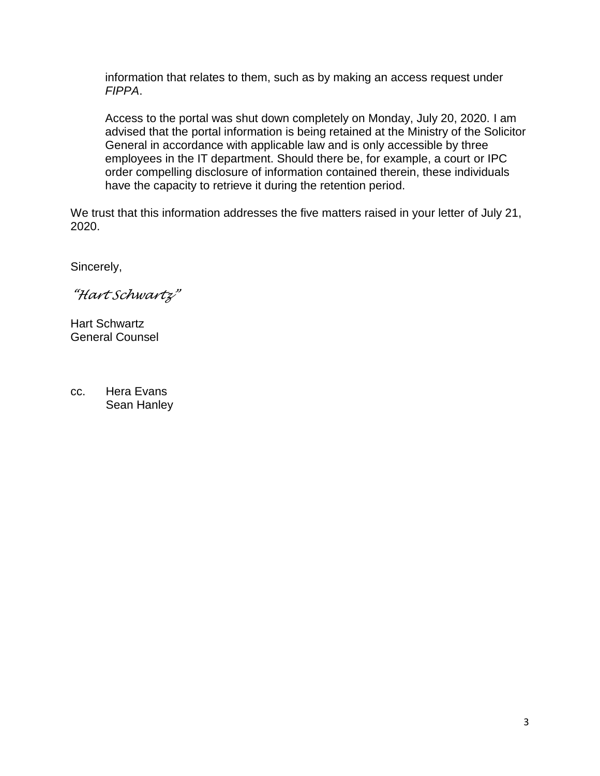information that relates to them, such as by making an access request under *FIPPA*.

Access to the portal was shut down completely on Monday, July 20, 2020. I am advised that the portal information is being retained at the Ministry of the Solicitor General in accordance with applicable law and is only accessible by three employees in the IT department. Should there be, for example, a court or IPC order compelling disclosure of information contained therein, these individuals have the capacity to retrieve it during the retention period.

We trust that this information addresses the five matters raised in your letter of July 21, 2020.

Sincerely,

*"Hart Schwartz"*

Hart Schwartz General Counsel

cc. Hera Evans Sean Hanley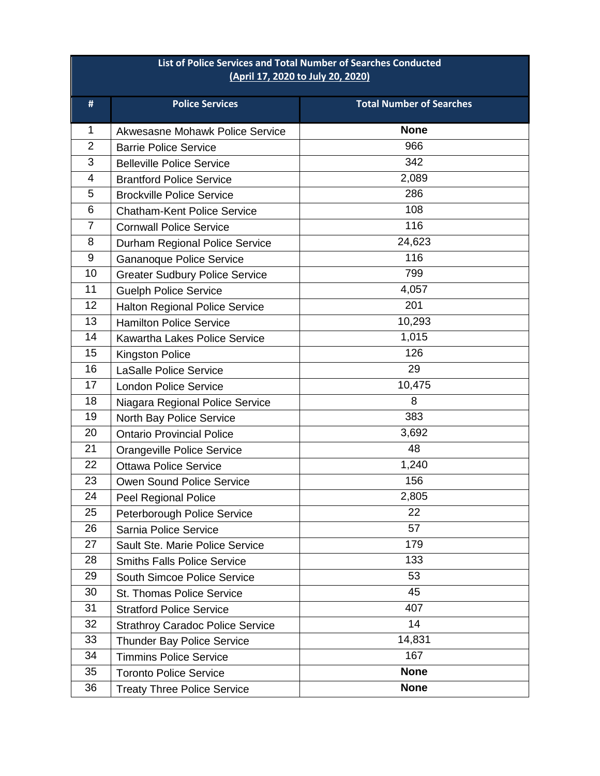| List of Police Services and Total Number of Searches Conducted<br>(April 17, 2020 to July 20, 2020) |                                         |                                 |
|-----------------------------------------------------------------------------------------------------|-----------------------------------------|---------------------------------|
| #                                                                                                   | <b>Police Services</b>                  | <b>Total Number of Searches</b> |
| 1                                                                                                   | Akwesasne Mohawk Police Service         | <b>None</b>                     |
| $\overline{2}$                                                                                      | <b>Barrie Police Service</b>            | 966                             |
| 3                                                                                                   | <b>Belleville Police Service</b>        | 342                             |
| 4                                                                                                   | <b>Brantford Police Service</b>         | 2,089                           |
| 5                                                                                                   | <b>Brockville Police Service</b>        | 286                             |
| 6                                                                                                   | <b>Chatham-Kent Police Service</b>      | 108                             |
| $\overline{7}$                                                                                      | <b>Cornwall Police Service</b>          | 116                             |
| 8                                                                                                   | Durham Regional Police Service          | 24,623                          |
| $\boldsymbol{9}$                                                                                    | <b>Gananoque Police Service</b>         | 116                             |
| 10                                                                                                  | <b>Greater Sudbury Police Service</b>   | 799                             |
| 11                                                                                                  | <b>Guelph Police Service</b>            | 4,057                           |
| 12                                                                                                  | <b>Halton Regional Police Service</b>   | 201                             |
| 13                                                                                                  | <b>Hamilton Police Service</b>          | 10,293                          |
| 14                                                                                                  | <b>Kawartha Lakes Police Service</b>    | 1,015                           |
| 15                                                                                                  | <b>Kingston Police</b>                  | 126                             |
| 16                                                                                                  | <b>LaSalle Police Service</b>           | 29                              |
| 17                                                                                                  | <b>London Police Service</b>            | 10,475                          |
| 18                                                                                                  | Niagara Regional Police Service         | 8                               |
| 19                                                                                                  | North Bay Police Service                | 383                             |
| 20                                                                                                  | <b>Ontario Provincial Police</b>        | 3,692                           |
| 21                                                                                                  | <b>Orangeville Police Service</b>       | 48                              |
| 22                                                                                                  | <b>Ottawa Police Service</b>            | 1,240                           |
| 23                                                                                                  | Owen Sound Police Service               | 156                             |
| 24                                                                                                  | Peel Regional Police                    | 2,805                           |
| 25                                                                                                  | Peterborough Police Service             | 22                              |
| 26                                                                                                  | Sarnia Police Service                   | 57                              |
| 27                                                                                                  | Sault Ste. Marie Police Service         | 179                             |
| 28                                                                                                  | <b>Smiths Falls Police Service</b>      | 133                             |
| 29                                                                                                  | <b>South Simcoe Police Service</b>      | 53                              |
| 30                                                                                                  | St. Thomas Police Service               | 45                              |
| 31                                                                                                  | <b>Stratford Police Service</b>         | 407                             |
| 32                                                                                                  | <b>Strathroy Caradoc Police Service</b> | 14                              |
| 33                                                                                                  | <b>Thunder Bay Police Service</b>       | 14,831                          |
| 34                                                                                                  | <b>Timmins Police Service</b>           | 167                             |
| 35                                                                                                  | <b>Toronto Police Service</b>           | <b>None</b>                     |
| 36                                                                                                  | <b>Treaty Three Police Service</b>      | <b>None</b>                     |